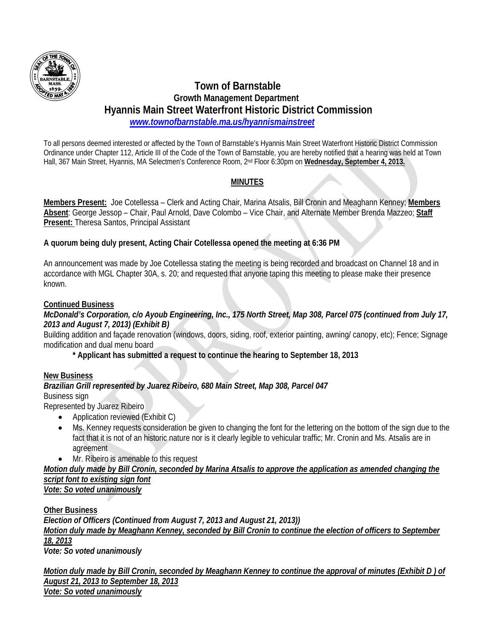

# **Town of Barnstable Growth Management Department Hyannis Main Street Waterfront Historic District Commission**   *www.townofbarnstable.ma.us/hyannismainstreet*

To all persons deemed interested or affected by the Town of Barnstable's Hyannis Main Street Waterfront Historic District Commission Ordinance under Chapter 112, Article III of the Code of the Town of Barnstable, you are hereby notified that a hearing was held at Town Hall, 367 Main Street, Hyannis, MA Selectmen's Conference Room, 2nd Floor 6:30pm on **Wednesday, September 4, 2013.**

## **MINUTES**

**Members Present:** Joe Cotellessa – Clerk and Acting Chair, Marina Atsalis, Bill Cronin and Meaghann Kenney; **Members Absent**: George Jessop – Chair, Paul Arnold, Dave Colombo – Vice Chair, and Alternate Member Brenda Mazzeo; **Staff Present:** Theresa Santos, Principal Assistant

### **A quorum being duly present, Acting Chair Cotellessa opened the meeting at 6:36 PM**

An announcement was made by Joe Cotellessa stating the meeting is being recorded and broadcast on Channel 18 and in accordance with MGL Chapter 30A, s. 20; and requested that anyone taping this meeting to please make their presence known.

### **Continued Business**

#### *McDonald's Corporation, c/o Ayoub Engineering, Inc., 175 North Street, Map 308, Parcel 075 (continued from July 17, 2013 and August 7, 2013) (Exhibit B)*

Building addition and façade renovation (windows, doors, siding, roof, exterior painting, awning/ canopy, etc); Fence; Signage modification and dual menu board

 **\* Applicant has submitted a request to continue the hearing to September 18, 2013** 

#### **New Business**

#### *Brazilian Grill represented by Juarez Ribeiro, 680 Main Street, Map 308, Parcel 047*  Business sign

Represented by Juarez Ribeiro

- Application reviewed (Exhibit C)
- Ms. Kenney requests consideration be given to changing the font for the lettering on the bottom of the sign due to the fact that it is not of an historic nature nor is it clearly legible to vehicular traffic; Mr. Cronin and Ms. Atsalis are in agreement
- Mr. Ribeiro is amenable to this request

# *Motion duly made by Bill Cronin, seconded by Marina Atsalis to approve the application as amended changing the script font to existing sign font*

*Vote: So voted unanimously* 

**Other Business** 

*Election of Officers (Continued from August 7, 2013 and August 21, 2013)) Motion duly made by Meaghann Kenney, seconded by Bill Cronin to continue the election of officers to September 18, 2013*

*Vote: So voted unanimously* 

*Motion duly made by Bill Cronin, seconded by Meaghann Kenney to continue the approval of minutes (Exhibit D ) of August 21, 2013 to September 18, 2013 Vote: So voted unanimously*